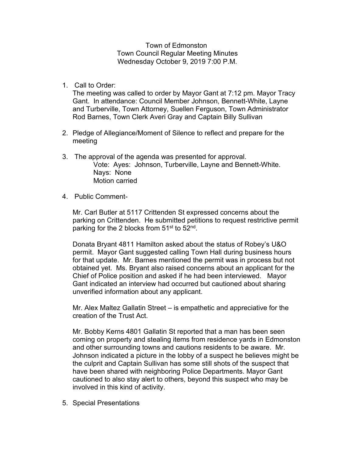Town of Edmonston Town Council Regular Meeting Minutes Wednesday October 9, 2019 7:00 P.M.

1. Call to Order:

The meeting was called to order by Mayor Gant at 7:12 pm. Mayor Tracy Gant. In attendance: Council Member Johnson, Bennett-White, Layne and Turberville, Town Attorney, Suellen Ferguson, Town Administrator Rod Barnes, Town Clerk Averi Gray and Captain Billy Sullivan

- 2. Pledge of Allegiance/Moment of Silence to reflect and prepare for the meeting
- 3. The approval of the agenda was presented for approval. Vote: Ayes: Johnson, Turberville, Layne and Bennett-White. Nays: None Motion carried
- 4. Public Comment-

Mr. Carl Butler at 5117 Crittenden St expressed concerns about the parking on Crittenden. He submitted petitions to request restrictive permit parking for the 2 blocks from 51<sup>st</sup> to 52<sup>nd</sup>.

Donata Bryant 4811 Hamilton asked about the status of Robey's U&O permit. Mayor Gant suggested calling Town Hall during business hours for that update. Mr. Barnes mentioned the permit was in process but not obtained yet. Ms. Bryant also raised concerns about an applicant for the Chief of Police position and asked if he had been interviewed. Mayor Gant indicated an interview had occurred but cautioned about sharing unverified information about any applicant.

Mr. Alex Maltez Gallatin Street – is empathetic and appreciative for the creation of the Trust Act.

Mr. Bobby Kerns 4801 Gallatin St reported that a man has been seen coming on property and stealing items from residence yards in Edmonston and other surrounding towns and cautions residents to be aware. Mr. Johnson indicated a picture in the lobby of a suspect he believes might be the culprit and Captain Sullivan has some still shots of the suspect that have been shared with neighboring Police Departments. Mayor Gant cautioned to also stay alert to others, beyond this suspect who may be involved in this kind of activity.

5. Special Presentations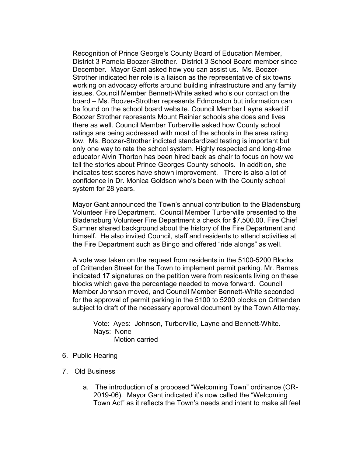Recognition of Prince George's County Board of Education Member, District 3 Pamela Boozer-Strother. District 3 School Board member since December. Mayor Gant asked how you can assist us. Ms. Boozer-Strother indicated her role is a liaison as the representative of six towns working on advocacy efforts around building infrastructure and any family issues. Council Member Bennett-White asked who's our contact on the board – Ms. Boozer-Strother represents Edmonston but information can be found on the school board website. Council Member Layne asked if Boozer Strother represents Mount Rainier schools she does and lives there as well. Council Member Turberville asked how County school ratings are being addressed with most of the schools in the area rating low. Ms. Boozer-Strother indicted standardized testing is important but only one way to rate the school system. Highly respected and long-time educator Alvin Thorton has been hired back as chair to focus on how we tell the stories about Prince Georges County schools. In addition, she indicates test scores have shown improvement. There is also a lot of confidence in Dr. Monica Goldson who's been with the County school system for 28 years.

Mayor Gant announced the Town's annual contribution to the Bladensburg Volunteer Fire Department. Council Member Turberville presented to the Bladensburg Volunteer Fire Department a check for \$7,500.00. Fire Chief Sumner shared background about the history of the Fire Department and himself. He also invited Council, staff and residents to attend activities at the Fire Department such as Bingo and offered "ride alongs" as well.

A vote was taken on the request from residents in the 5100-5200 Blocks of Crittenden Street for the Town to implement permit parking. Mr. Barnes indicated 17 signatures on the petition were from residents living on these blocks which gave the percentage needed to move forward. Council Member Johnson moved, and Council Member Bennett-White seconded for the approval of permit parking in the 5100 to 5200 blocks on Crittenden subject to draft of the necessary approval document by the Town Attorney.

Vote: Ayes: Johnson, Turberville, Layne and Bennett-White. Nays: None Motion carried

- 6. Public Hearing
- 7. Old Business
	- a. The introduction of a proposed "Welcoming Town" ordinance (OR-2019-06). Mayor Gant indicated it's now called the "Welcoming Town Act" as it reflects the Town's needs and intent to make all feel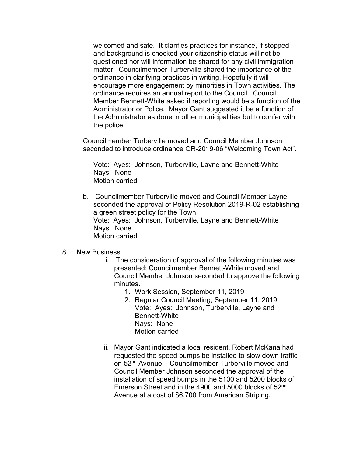welcomed and safe. It clarifies practices for instance, if stopped and background is checked your citizenship status will not be questioned nor will information be shared for any civil immigration matter. Councilmember Turberville shared the importance of the ordinance in clarifying practices in writing. Hopefully it will encourage more engagement by minorities in Town activities. The ordinance requires an annual report to the Council. Council Member Bennett-White asked if reporting would be a function of the Administrator or Police. Mayor Gant suggested it be a function of the Administrator as done in other municipalities but to confer with the police.

Councilmember Turberville moved and Council Member Johnson seconded to introduce ordinance OR-2019-06 "Welcoming Town Act".

Vote: Ayes: Johnson, Turberville, Layne and Bennett-White Nays: None Motion carried

b. Councilmember Turberville moved and Council Member Layne seconded the approval of Policy Resolution 2019-R-02 establishing a green street policy for the Town. Vote: Ayes: Johnson, Turberville, Layne and Bennett-White Nays: None Motion carried

## 8. New Business

- i. The consideration of approval of the following minutes was presented: Councilmember Bennett-White moved and Council Member Johnson seconded to approve the following minutes.
	- 1. Work Session, September 11, 2019
	- 2. Regular Council Meeting, September 11, 2019 Vote: Ayes: Johnson, Turberville, Layne and Bennett-White Nays: None Motion carried
- ii. Mayor Gant indicated a local resident, Robert McKana had requested the speed bumps be installed to slow down traffic on 52<sup>nd</sup> Avenue. Councilmember Turberville moved and Council Member Johnson seconded the approval of the installation of speed bumps in the 5100 and 5200 blocks of Emerson Street and in the 4900 and 5000 blocks of 52nd Avenue at a cost of \$6,700 from American Striping.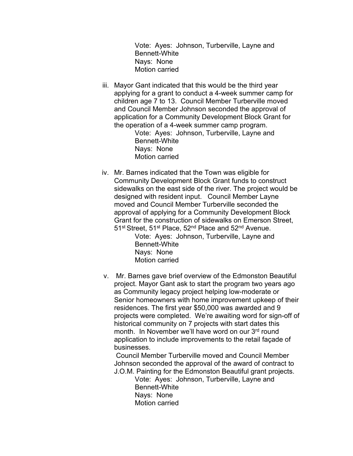Vote: Ayes: Johnson, Turberville, Layne and Bennett-White Nays: None Motion carried

iii. Mayor Gant indicated that this would be the third year applying for a grant to conduct a 4-week summer camp for children age 7 to 13. Council Member Turberville moved and Council Member Johnson seconded the approval of application for a Community Development Block Grant for the operation of a 4-week summer camp program.

Vote: Ayes: Johnson, Turberville, Layne and Bennett-White Nays: None Motion carried

iv. Mr. Barnes indicated that the Town was eligible for Community Development Block Grant funds to construct sidewalks on the east side of the river. The project would be designed with resident input. Council Member Layne moved and Council Member Turberville seconded the approval of applying for a Community Development Block Grant for the construction of sidewalks on Emerson Street, 51<sup>st</sup> Street, 51<sup>st</sup> Place, 52<sup>nd</sup> Place and 52<sup>nd</sup> Avenue.

> Vote: Ayes: Johnson, Turberville, Layne and Bennett-White Nays: None Motion carried

v. Mr. Barnes gave brief overview of the Edmonston Beautiful project. Mayor Gant ask to start the program two years ago as Community legacy project helping low-moderate or Senior homeowners with home improvement upkeep of their residences. The first year \$50,000 was awarded and 9 projects were completed. We're awaiting word for sign-off of historical community on 7 projects with start dates this month. In November we'll have word on our 3rd round application to include improvements to the retail façade of businesses.

Council Member Turberville moved and Council Member Johnson seconded the approval of the award of contract to J.O.M. Painting for the Edmonston Beautiful grant projects.

> Vote: Ayes: Johnson, Turberville, Layne and Bennett-White Nays: None Motion carried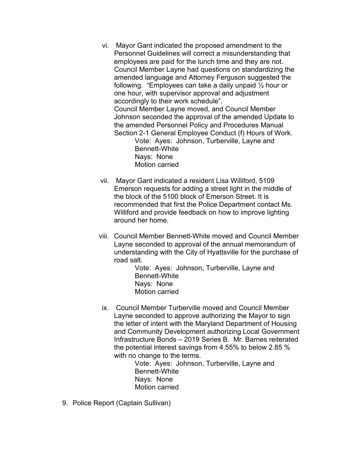vi. Mayor Gant indicated the proposed amendment to the Personnel Guidelines will correct a misunderstanding that employees are paid for the lunch time and they are not. Council Member Layne had questions on standardizing the amended language and Attorney Ferguson suggested the following. "Employees can take a daily unpaid ½ hour or one hour, with supervisor approval and adjustment accordingly to their work schedule".

Council Member Layne moved, and Council Member Johnson seconded the approval of the amended Update to the amended Personnel Policy and Procedures Manual Section 2-1 General Employee Conduct (f) Hours of Work.

Vote: Ayes: Johnson, Turberville, Layne and Bennett-White Nays: None Motion carried

- vii. Mayor Gant indicated a resident Lisa Williford, 5109 Emerson requests for adding a street light in the middle of the block of the 5100 block of Emerson Street. It is recommended that first the Police Department contact Ms. Williford and provide feedback on how to improve lighting around her home.
- viii. Council Member Bennett-White moved and Council Member Layne seconded to approval of the annual memorandum of understanding with the City of Hyattsville for the purchase of road salt.

Vote: Ayes: Johnson, Turberville, Layne and Bennett-White Nays: None Motion carried

ix. Council Member Turberville moved and Council Member Layne seconded to approve authorizing the Mayor to sign the letter of intent with the Maryland Department of Housing and Community Development authorizing Local Government Infrastructure Bonds – 2019 Series B. Mr. Barnes reiterated the potential interest savings from 4.55% to below 2.85 % with no change to the terms.

> Vote: Ayes: Johnson, Turberville, Layne and Bennett-White Nays: None Motion carried

9. Police Report (Captain Sullivan)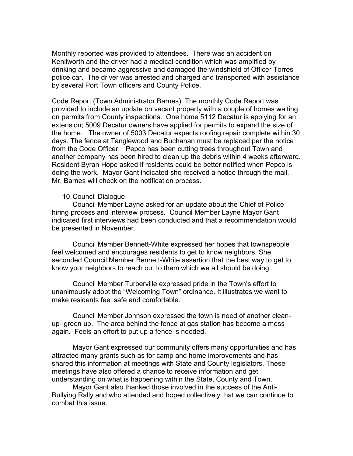Monthly reported was provided to attendees. There was an accident on Kenilworth and the driver had a medical condition which was amplified by drinking and became aggressive and damaged the windshield of Officer Torres police car. The driver was arrested and charged and transported with assistance by several Port Town officers and County Police.

Code Report (Town Administrator Barnes). The monthly Code Report was provided to include an update on vacant property with a couple of homes waiting on permits from County inspections. One home 5112 Decatur is applying for an extension; 5009 Decatur owners have applied for permits to expand the size of the home. The owner of 5003 Decatur expects roofing repair complete within 30 days. The fence at Tanglewood and Buchanan must be replaced per the notice from the Code Officer. Pepco has been cutting trees throughout Town and another company has been hired to clean up the debris within 4 weeks afterward. Resident Byran Hope asked if residents could be better notified when Pepco is doing the work. Mayor Gant indicated she received a notice through the mail. Mr. Barnes will check on the notification process.

## 10.Council Dialogue

Council Member Layne asked for an update about the Chief of Police hiring process and interview process. Council Member Layne Mayor Gant indicated first interviews had been conducted and that a recommendation would be presented in November.

Council Member Bennett-White expressed her hopes that townspeople feel welcomed and encourages residents to get to know neighbors. She seconded Council Member Bennett-White assertion that the best way to get to know your neighbors to reach out to them which we all should be doing.

Council Member Turberville expressed pride in the Town's effort to unanimously adopt the "Welcoming Town" ordinance. It illustrates we want to make residents feel safe and comfortable.

Council Member Johnson expressed the town is need of another cleanup- green up. The area behind the fence at gas station has become a mess again. Feels an effort to put up a fence is needed.

Mayor Gant expressed our community offers many opportunities and has attracted many grants such as for camp and home improvements and has shared this information at meetings with State and County legislators. These meetings have also offered a chance to receive information and get understanding on what is happening within the State, County and Town.

Mayor Gant also thanked those involved in the success of the Anti-Bullying Rally and who attended and hoped collectively that we can continue to combat this issue.